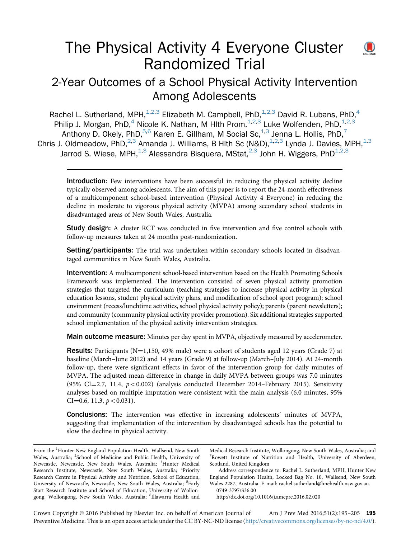

# The Physical Activity 4 Everyone Cluster Randomized Trial

# 2-Year Outcomes of a School Physical Activity Intervention Among Adolescents

Rachel L. Sutherland, MPH, $^{1,2,3}$  Elizabeth M. Campbell, PhD, $^{1,2,3}$  David R. Lubans, PhD,<sup>4</sup> Philip J. Morgan, PhD,<sup>4</sup> Nicole K. Nathan, M Hlth Prom, $1,2,3$  Luke Wolfenden, PhD, $1,2,3$ Anthony D. Okely, PhD,<sup>5,6</sup> Karen E. Gillham, M Social Sc,<sup>1,3</sup> Jenna L. Hollis, PhD,<sup>7</sup> Chris J. Oldmeadow, PhD, $^{2,3}$  Amanda J. Williams, B Hlth Sc (N&D), $^{1,2,3}$  Lynda J. Davies, MPH, $^{1,3}$ Jarrod S. Wiese, MPH,  $1,3$  Alessandra Bisquera, MStat,  $2,3$  John H. Wiggers, PhD $1,2,3$ 

Introduction: Few interventions have been successful in reducing the physical activity decline typically observed among adolescents. The aim of this paper is to report the 24-month effectiveness of a multicomponent school-based intervention (Physical Activity 4 Everyone) in reducing the decline in moderate to vigorous physical activity (MVPA) among secondary school students in disadvantaged areas of New South Wales, Australia.

Study design: A cluster RCT was conducted in five intervention and five control schools with follow-up measures taken at 24 months post-randomization.

**Setting/participants:** The trial was undertaken within secondary schools located in disadvantaged communities in New South Wales, Australia.

Intervention: A multicomponent school-based intervention based on the Health Promoting Schools Framework was implemented. The intervention consisted of seven physical activity promotion strategies that targeted the curriculum (teaching strategies to increase physical activity in physical education lessons, student physical activity plans, and modification of school sport program); school environment (recess/lunchtime activities, school physical activity policy); parents (parent newsletters); and community (community physical activity provider promotion). Six additional strategies supported school implementation of the physical activity intervention strategies.

Main outcome measure: Minutes per day spent in MVPA, objectively measured by accelerometer.

**Results:** Participants ( $N=1,150, 49\%$  male) were a cohort of students aged 12 years (Grade 7) at baseline (March–June 2012) and 14 years (Grade 9) at follow-up (March–July 2014). At 24-month follow-up, there were significant effects in favor of the intervention group for daily minutes of MVPA. The adjusted mean difference in change in daily MVPA between groups was 7.0 minutes (95% CI=2.7, 11.4,  $p < 0.002$ ) (analysis conducted December 2014–February 2015). Sensitivity analyses based on multiple imputation were consistent with the main analysis (6.0 minutes, 95% CI=0.6, 11.3,  $p < 0.031$ ).

Conclusions: The intervention was effective in increasing adolescents' minutes of MVPA, suggesting that implementation of the intervention by disadvantaged schools has the potential to slow the decline in physical activity.

From the <sup>1</sup>Hunter New England Population Health, Wallsend, New South Wales, Australia; <sup>2</sup>School of Medicine and Public Health, University of Newcastle, Newcastle, New South Wales, Australia; <sup>3</sup>Hunter Medical Research Institute, Newcastle, New South Wales, Australia; <sup>4</sup>Priority Research Centre in Physical Activity and Nutrition, School of Education, University of Newcastle, Newcastle, New South Wales, Australia; <sup>5</sup>Early Start Research Institute and School of Education, University of Wollongong, Wollongong, New South Wales, Australia; <sup>6</sup>Illawarra Health and

Medical Research Institute, Wollongong, New South Wales, Australia; and 7 Rowett Institute of Nutrition and Health, University of Aberdeen, Scotland, United Kingdom

Address correspondence to: Rachel L. Sutherland, MPH, Hunter New England Population Health, Locked Bag No. 10, Wallsend, New South Wales 2287, Australia. E-mail: [rachel.sutherland@hnehealth.nsw.gov.au.](mailto:rachel.sutherland@hnehealth.nsw.gov.au) 0749-3797/\$36.00

<http://dx.doi.org/10.1016/j.amepre.2016.02.020>

Crown Copyright © 2016 Published by Elsevier Inc. on behalf of American Journal of Preventive Medicine. This is an open access article under the CC BY-NC-ND license (http://creativecommons.org/licenses/by-nc-nd/4.0/). Am J Prev Med 2016;51(2):195-205 **195**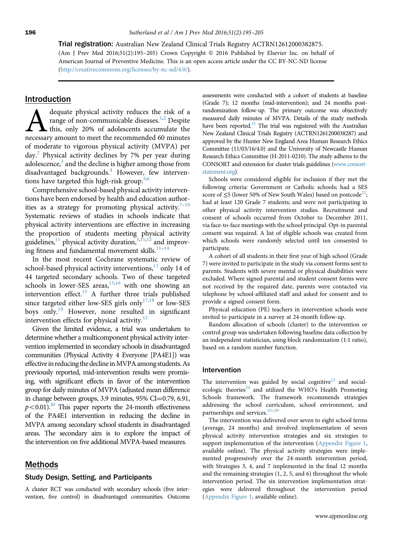Trial registration: Australian New Zealand Clinical Trials Registry ACTRN12612000382875. (Am J Prev Med 2016;51(2):195–205) Crown Copyright & 2016 Published by Elsevier Inc. on behalf of American Journal of Preventive Medicine. This is an open access article under the CC BY-NC-ND license (http://creativecommons.org/licenses/by-nc-nd/4.0/).

# Introduction

dequate physical activity reduces th[e r](#page-8-0)isk of a<br>range of non-communicable diseases.<sup>1,2</sup> Despite<br>this, only 20% of adolescents accumulate the<br>necessary amount to meet the recommended 60 minutes range of non-communicable diseases.<sup>1,2</sup> Despite this, only 20% of adolescents accumulate the necessary amount to meet the recommended 60 minutes of moderate to vigorous physical activity (MVPA) per day.<sup>2</sup> Physical activity declines by 7% per year during adolescence, $3$  and the decline is higher among those from disadvantaged backgrounds.<sup>[4](#page-8-0)</sup> However, few interven-tions have targeted this high-risk group.<sup>[5,6](#page-8-0)</sup>

Comprehensive school-based physical activity interventions have been endorsed by health and education author-ities as a strategy for promoting physical activity.<sup>7-[10](#page-8-0)</sup> Systematic reviews of studies in schools indicate that physical activity interventions are effective in increasing the proportion of students meeting physical activity guidelines, $^{11}$  physical activity duration, $^{5,11,12}$  $^{5,11,12}$  $^{5,11,12}$  and improving fitness and fundamental movement skills. $11-14$  $11-14$ 

In the most recent Cochrane systematic review of school-based physical activity interventions, $11$  only 14 of 44 targeted secondary schools. Two of these targeted schools in lower-SES areas, $15,16$  $15,16$  $15,16$  with one showing an intervention effect.<sup>[15](#page-8-0)</sup> A further three trials published since targeted either low-SES girls only<sup>[17,18](#page-8-0)</sup> or low-SES boys only[.19](#page-8-0) However, none resulted in significant intervention effects for physical activity.<sup>[12](#page-8-0)</sup>

Given the limited evidence, a trial was undertaken to determine whether a multicomponent physical activity intervention implemented in secondary schools in disadvantaged communities (Physical Activity 4 Everyone [PA4E1]) was effective in reducing the decline in MVPA among students. As previously reported, mid-intervention results were promising, with significant effects in favor of the intervention group for daily minutes of MVPA (adjusted mean difference in change between groups, 3.9 minutes,  $95\%$  CI=0.79, 6.91,  $p < 0.01$ .<sup>20</sup> This paper reports the 24-month effectiveness of the PA4E1 intervention in reducing the decline in MVPA among secondary school students in disadvantaged areas. The secondary aim is to explore the impact of the intervention on five additional MVPA-based measures.

## Methods

#### Study Design, Setting, and Participants

A cluster RCT was conducted with secondary schools (five intervention, five control) in disadvantaged communities. Outcome assessments were conducted with a cohort of students at baseline (Grade 7); 12 months (mid-intervention); and 24 months postrandomization follow-up. The primary outcome was objectively measured daily minutes of MVPA. Details of the study methods have been reported.<sup>21</sup> The trial was registered with the Australian New Zealand Clinical Trials Registry (ACTRN1261200038287) and approved by the Hunter New England Area Human Research Ethics Committee (11/03/16/4.0) and the University of Newcastle Human Research Ethics Committee (H-2011-0210). The study adheres to the CONSORT and extension for cluster trials guidelines ([www.consort](www.consort-statement.org)[statement.org\)](www.consort-statement.org).

Schools were considered eligible for inclusion if they met the following criteria: Government or Catholic schools; had a SES score of  $\leq$ 5 (lower 50% of New South Wales) based on postcode<sup>[22](#page-9-0)</sup>; had at least 120 Grade 7 students; and were not participating in other physical activity intervention studies. Recruitment and consent of schools occurred from October to December 2011, via face-to-face meetings with the school principal. Opt-in parental consent was required. A list of eligible schools was created from which schools were randomly selected until ten consented to participate.

A cohort of all students in their first year of high school (Grade 7) were invited to participate in the study via consent forms sent to parents. Students with severe mental or physical disabilities were excluded. Where signed parental and student consent forms were not received by the required date, parents were contacted via telephone by school-affiliated staff and asked for consent and to provide a signed consent form.

Physical education (PE) teachers in intervention schools were invited to participate in a survey at 24-month follow-up.

Random allocation of schools (cluster) to the intervention or control group was undertaken following baseline data collection by an independent statistician, using block randomization (1:1 ratio), based on a random number function.

#### Intervention

The intervention was guided by social cognitive<sup>[23](#page-9-0)</sup> and social-ecologic theories<sup>[24](#page-9-0)</sup> and utilized the WHO's Health Promoting Schools framework. The framework recommends strategies addressing the school curriculum, school environment, and partnerships and services.<sup>[25](#page-9-0)-[29](#page-9-0)</sup>

The intervention was delivered over seven to eight school terms (average, 24 months) and involved implementation of seven physical activity intervention strategies and six strategies to support implementation of the intervention [\(Appendix Figure 1](#page-10-0), available online). The physical activity strategies were implemented progressively over the 24-month intervention period, with Strategies 3, 4, and 7 implemented in the final 12 months and the remaining strategies (1, 2, 5, and 6) throughout the whole intervention period. The six intervention implementation strategies were delivered throughout the intervention period [\(Appendix Figure 1](#page-10-0), available online).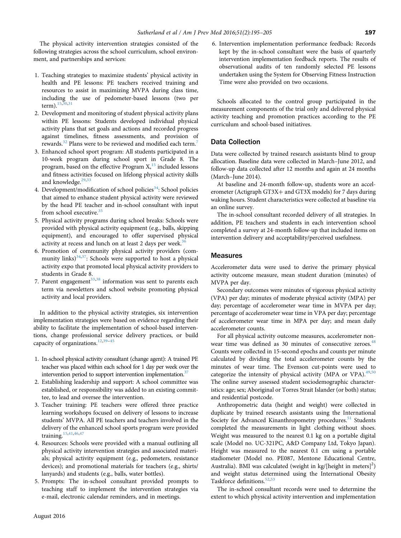The physical activity intervention strategies consisted of the following strategies across the school curriculum, school environment, and partnerships and services:

- 1. Teaching strategies to maximize students' physical activity in health and PE lessons: PE teachers received training and resources to assist in maximizing MVPA during class time, including the use of pedometer-based lessons (two per term).[15,](#page-8-0)[30,31](#page-9-0)
- 2. Development and monitoring of student physical activity plans within PE lessons: Students developed individual physical activity plans that set goals and actions and recorded progress against timelines, fitness assessments, and provision of rewards.<sup>[32](#page-9-0)</sup> Plans were to be reviewed and modified each term.<sup>[7](#page-8-0)</sup>
- 3. Enhanced school sport program: All students participated in a 10-week program during school sport in Grade 8. The program, based on the effective Program  $X<sub>1</sub><sup>15</sup>$  included lessons and fitness activities focused on lifelong physical activity skills and knowledge.<sup>[29,33](#page-9-0)</sup>
- 4. Development/modification of school policies<sup>[34](#page-9-0)</sup>: School policies that aimed to enhance student physical activity were reviewed by the head PE teacher and in-school consultant with input from school executive.<sup>[35](#page-9-0)</sup>
- 5. Physical activity programs during school breaks: Schools were provided with physical activity equipment (e.g., balls, skipping equipment), and encouraged to offer supervised physical activity at recess and lunch on at least 2 days per week.<sup>3</sup>
- 6. Promotion of community physical activity providers (com-munity links)<sup>[34](#page-9-0),[37](#page-9-0)</sup>: Schools were supported to host a physical activity expo that promoted local physical activity providers to students in Grade 8.
- 7. Parent engagement<sup>33,38</sup> information was sent to parents each term via newsletters and school website promoting physical activity and local providers.

In addition to the physical activity strategies, six intervention implementation strategies were based on evidence regarding their ability to facilitate the implementation of school-based interventions, change professional service delivery practices, or build capacity of organizations.<sup>[12,](#page-8-0)[39](#page-9-0)-[45](#page-9-0)</sup>

- 1. In-school physical activity consultant (change agent): A trained PE teacher was placed within each school for 1 day per week over the intervention period to support intervention implementation.<sup>[37](#page-9-0)</sup>
- 2. Establishing leadership and support: A school committee was established, or responsibility was added to an existing committee, to lead and oversee the intervention.
- 3. Teacher training: PE teachers were offered three practice learning workshops focused on delivery of lessons to increase students' MVPA. All PE teachers and teachers involved in the delivery of the enhanced school sports program were provided training.[15](#page-8-0)[,41,46,47](#page-9-0)
- 4. Resources: Schools were provided with a manual outlining all physical activity intervention strategies and associated materials; physical activity equipment (e.g., pedometers, resistance devices); and promotional materials for teachers (e.g., shirts/ lanyards) and students (e.g., balls, water bottles).
- 5. Prompts: The in-school consultant provided prompts to teaching staff to implement the intervention strategies via e-mail, electronic calendar reminders, and in meetings.

6. Intervention implementation performance feedback: Records kept by the in-school consultant were the basis of quarterly intervention implementation feedback reports. The results of observational audits of ten randomly selected PE lessons undertaken using the System for Observing Fitness Instruction Time were also provided on two occasions.

Schools allocated to the control group participated in the measurement components of the trial only and delivered physical activity teaching and promotion practices according to the PE curriculum and school-based initiatives.

# Data Collection

Data were collected by trained research assistants blind to group allocation. Baseline data were collected in March–June 2012, and follow-up data collected after 12 months and again at 24 months (March–June 2014).

At baseline and 24-month follow-up, students wore an accelerometer (Actigraph GT3X $+$  and GT3X models) for 7 days during waking hours. Student characteristics were collected at baseline via an online survey.

The in-school consultant recorded delivery of all strategies. In addition, PE teachers and students in each intervention school completed a survey at 24-month follow-up that included items on intervention delivery and acceptability/perceived usefulness.

#### Measures

Accelerometer data were used to derive the primary physical activity outcome measure, mean student duration (minutes) of MVPA per day.

Secondary outcomes were minutes of vigorous physical activity (VPA) per day; minutes of moderate physical activity (MPA) per day; percentage of accelerometer wear time in MVPA per day; percentage of accelerometer wear time in VPA per day; percentage of accelerometer wear time in MPA per day; and mean daily accelerometer counts.

For all physical activity outcome measures, accelerometer non-wear time was defined as 30 minutes of consecutive zeroes.<sup>[48](#page-9-0)</sup> Counts were collected in 15-second epochs and counts per minute calculated by dividing the total accelerometer counts by the minutes of wear time. The Evenson cut-points were used to categorize the intensity of physical activity (MPA or VPA). $49,50$  $49,50$  $49,50$ The online survey assessed student sociodemographic characteristics: age; sex; Aboriginal or Torres Strait Islander (or both) status; and residential postcode.

Anthropometric data (height and weight) were collected in duplicate by trained research assistants using the International Society for Advanced Kinanthropometry procedures.<sup>[51](#page-9-0)</sup> Students completed the measurements in light clothing without shoes. Weight was measured to the nearest 0.1 kg on a portable digital scale (Model no. UC-321PC, A&D Company Ltd, Tokyo Japan). Height was measured to the nearest 0.1 cm using a portable stadiometer (Model no. PE087, Mentone Educational Centre, Australia). BMI was calculated (weight in kg/[height in meters] $^{2})$ and weight status determined using the International Obesity Taskforce definitions.<sup>[52](#page-9-0),5</sup>

The in-school consultant records were used to determine the extent to which physical activity intervention and implementation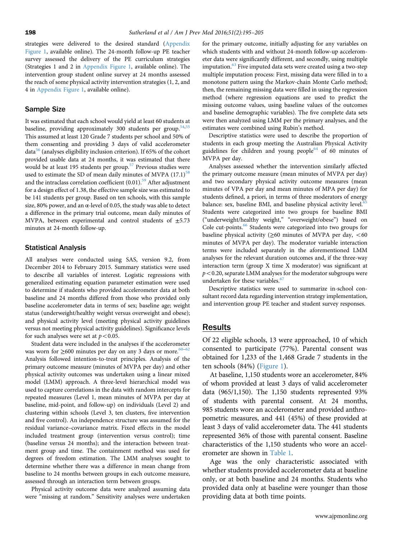strategies were delivered to the desired standard ([Appendix](#page-10-0) [Figure 1,](#page-10-0) available online). The 24-month follow-up PE teacher survey assessed the delivery of the PE curriculum strategies (Strategies 1 and 2 in [Appendix Figure 1](#page-10-0), available online). The intervention group student online survey at 24 months assessed the reach of some physical activity intervention strategies (1, 2, and 4 in [Appendix Figure 1,](#page-10-0) available online).

#### Sample Size

It was estimated that each school would yield at least 60 students at baseline, providing approximately 300 students per group.<sup>[54](#page-9-0),[55](#page-9-0)</sup> This assumed at least 120 Grade 7 students per school and 50% of them consenting and providing 3 days of valid accelerometer dat[a56](#page-9-0) (analyses eligibility inclusion criterion). If 65% of the cohort provided usable data at 24 months, it was estimated that there would be at least 195 students per group.<sup>[57](#page-10-0)</sup> Previous studies were used to estimate the SD of mean daily minutes of MVPA  $(17.1)^{58}$  $(17.1)^{58}$  $(17.1)^{58}$ and the intraclass correlation coefficient  $(0.01).$ <sup>[59](#page-10-0)</sup> After adjustment for a design effect of 1.38, the effective sample size was estimated to be 141 students per group. Based on ten schools, with this sample size, 80% power, and an  $\alpha$ -level of 0.05, the study was able to detect a difference in the primary trial outcome, mean daily minutes of MVPA, between experimental and control students of  $\pm$ 5.73 minutes at 24-month follow-up.

#### Statistical Analysis

All analyses were conducted using SAS, version 9.2, from December 2014 to February 2015. Summary statistics were used to describe all variables of interest. Logistic regressions with generalized estimating equation parameter estimation were used to determine if students who provided accelerometer data at both baseline and 24 months differed from those who provided only baseline accelerometer data in terms of sex; baseline age; weight status (underweight/healthy weight versus overweight and obese); and physical activity level (meeting physical activity guidelines versus not meeting physical activity guidelines). Significance levels for such analyses were set at  $p < 0.05$ .

Student data were included in the analyses if the accelerometer was worn for  $\geq$ [60](#page-10-0)0 minutes per day on any 3 days or more.<sup>60-[62](#page-10-0)</sup> Analysis followed intention-to-treat principles. Analysis of the primary outcome measure (minutes of MVPA per day) and other physical activity outcomes was undertaken using a linear mixed model (LMM) approach. A three-level hierarchical model was used to capture correlations in the data with random intercepts for repeated measures (Level 1, mean minutes of MVPA per day at baseline, mid-point, and follow-up) on individuals (Level 2) and clustering within schools (Level 3, ten clusters, five intervention and five control). An independence structure was assumed for the residual variance–covariance matrix. Fixed effects in the model included treatment group (intervention versus control); time (baseline versus 24 months); and the interaction between treatment group and time. The containment method was used for degrees of freedom estimation. The LMM analyses sought to determine whether there was a difference in mean change from baseline to 24 months between groups in each outcome measure, assessed through an interaction term between groups.

Physical activity outcome data were analyzed assuming data were "missing at random." Sensitivity analyses were undertaken

for the primary outcome, initially adjusting for any variables on which students with and without 24-month follow-up accelerometer data were significantly different, and secondly, using multiple imputation.<sup>[63](#page-10-0)</sup> Five imputed data sets were created using a two-step multiple imputation process: First, missing data were filled in to a monotone pattern using the Markov-chain Monte Carlo method; then, the remaining missing data were filled in using the regression method (where regression equations are used to predict the missing outcome values, using baseline values of the outcomes and baseline demographic variables). The five complete data sets were then analyzed using LMM per the primary analyses, and the estimates were combined using Rubin's method.

Descriptive statistics were used to describe the proportion of students in each group meeting the Australian Physical Activity guidelines for children and young people<sup>[64](#page-10-0)</sup> of 60 minutes of MVPA per day.

Analyses assessed whether the intervention similarly affected the primary outcome measure (mean minutes of MVPA per day) and two secondary physical activity outcome measures (mean minutes of VPA per day and mean minutes of MPA per day) for students defined, a priori, in terms of three moderators of energy balance: sex, baseline BMI, and baseline physical activity level.<sup>[65](#page-10-0)</sup> Students were categorized into two groups for baseline BMI ("underweight/healthy weight," "overweight/obese") based on Cole cut-points.<sup>66</sup> Students were categorized into two groups for baseline physical activity ( $\geq 60$  minutes of MVPA per day, <60 minutes of MVPA per day). The moderator variable interaction terms were included separately in the aforementioned LMM analyses for the relevant duration outcomes and, if the three-way interaction term (group X time X moderator) was significant at  $p$ <0.20, separate LMM analyses for the moderator subgroups were undertaken for these variables.<sup>[67](#page-10-0)</sup>

Descriptive statistics were used to summarize in-school consultant record data regarding intervention strategy implementation, and intervention group PE teacher and student survey responses.

# Results

Of 22 eligible schools, 13 were approached, 10 of which consented to participate (77%). Parental consent was obtained for 1,233 of the 1,468 Grade 7 students in the ten schools (84%) [\(Figure 1\)](#page-4-0).

At baseline, 1,150 students wore an accelerometer, 84% of whom provided at least 3 days of valid accelerometer data (965/1,150). The 1,150 students represented 93% of students with parental consent. At 24 months, 985 students wore an accelerometer and provided anthropometric measures, and 441 (45%) of these provided at least 3 days of valid accelerometer data. The 441 students represented 36% of those with parental consent. Baseline characteristics of the 1,150 students who wore an accelerometer are shown in [Table 1.](#page-5-0)

Age was the only characteristic associated with whether students provided accelerometer data at baseline only, or at both baseline and 24 months. Students who provided data only at baseline were younger than those providing data at both time points.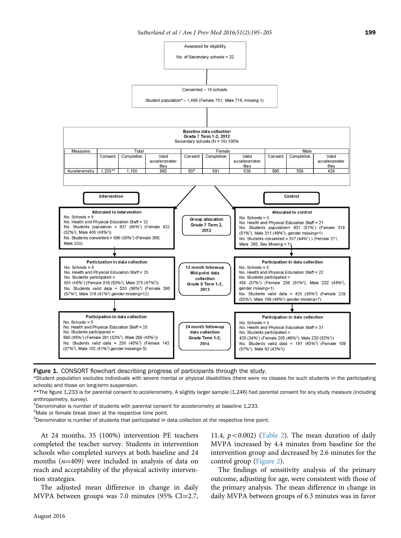<span id="page-4-0"></span>

Figure 1. CONSORT flowchart describing progress of participants through the study.

\*Student population excludes individuals with severe mental or physical disabilities (there were no classes for such students in the participating schools) and those on long-term suspension.

\*\*The figure 1,233 is for parental consent to accelerometry. A slightly larger sample (1,246) had parental consent for any study measure (including anthropometry, survey).

 $1$ Denominator is number of students with parental consent for accelerometry at baseline 1,233.

 $2$ Male or female break down at the respective time point.

<sup>3</sup>Denominator is number of students that participated in data collection at the respective time point.

At 24 months, 35 (100%) intervention PE teachers completed the teacher survey. Students in intervention schools who completed surveys at both baseline and 24 months  $(n=409)$  were included in analysis of data on reach and acceptability of the physical activity intervention strategies.

The adjusted mean difference in change in daily MVPA between groups was 7.0 minutes  $(95\% \text{ CI} = 2.7,$  11.4,  $p < 0.002$ ) [\(Table 2\)](#page-6-0). The mean duration of daily MVPA increased by 4.4 minutes from baseline for the intervention group and decreased by 2.6 minutes for the control group ([Figure 2\)](#page-7-0).

The findings of sensitivity analysis of the primary outcome, adjusting for age, were consistent with those of the primary analysis. The mean difference in change in daily MVPA between groups of 6.3 minutes was in favor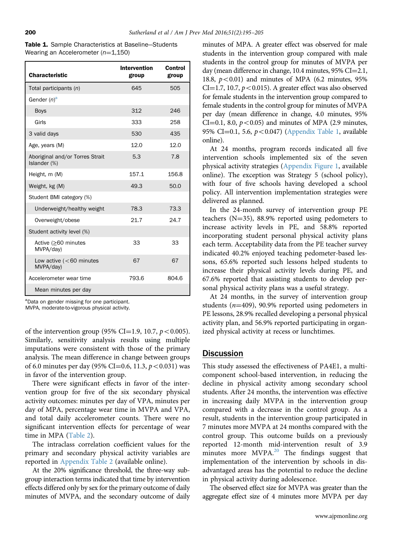<span id="page-5-0"></span>Table 1. Sample Characteristics at Baseline-Students Wearing an Accelerometer  $(n=1,150)$ 

| <b>Characteristic</b>                           | <b>Intervention</b><br>group | Control<br>group |  |
|-------------------------------------------------|------------------------------|------------------|--|
| Total participants (n)                          | 645                          | 505              |  |
| Gender (n) <sup>a</sup>                         |                              |                  |  |
| <b>Boys</b>                                     | 312                          | 246              |  |
| Girls                                           | 333                          | 258              |  |
| 3 valid days                                    | 530                          | 435              |  |
| Age, years (M)                                  | 12.0                         | 12.0             |  |
| Aboriginal and/or Torres Strait<br>Islander (%) | 5.3                          | 7.8              |  |
| Height, m (M)                                   | 157.1                        | 156.8            |  |
| Weight, kg (M)                                  | 49.3                         | 50.0             |  |
| Student BMI category (%)                        |                              |                  |  |
| Underweight/healthy weight                      | 78.3                         | 73.3             |  |
| Overweight/obese                                | 21.7                         | 24.7             |  |
| Student activity level (%)                      |                              |                  |  |
| Active $(≥60$ minutes<br>MVPA/day)              | 33                           | 33               |  |
| Low active $(<$ 60 minutes<br>MVPA/day)         | 67                           | 67               |  |
| Accelerometer wear time                         | 793.6                        | 804.6            |  |
| Mean minutes per day                            |                              |                  |  |

<sup>a</sup>Data on gender missing for one participant.

MVPA, moderate-to-vigorous physical activity.

of the intervention group (95% CI=1.9, 10.7,  $p < 0.005$ ). Similarly, sensitivity analysis results using multiple imputations were consistent with those of the primary analysis. The mean difference in change between groups of 6.0 minutes per day (95% CI=0.6, 11.3,  $p < 0.031$ ) was in favor of the intervention group.

There were significant effects in favor of the intervention group for five of the six secondary physical activity outcomes: minutes per day of VPA, minutes per day of MPA, percentage wear time in MVPA and VPA, and total daily accelerometer counts. There were no significant intervention effects for percentage of wear time in MPA ([Table 2\)](#page-6-0).

The intraclass correlation coefficient values for the primary and secondary physical activity variables are reported in [Appendix Table 2](#page-10-0) (available online).

At the 20% significance threshold, the three-way subgroup interaction terms indicated that time by intervention effects differed only by sex for the primary outcome of daily minutes of MVPA, and the secondary outcome of daily minutes of MPA. A greater effect was observed for male students in the intervention group compared with male students in the control group for minutes of MVPA per day (mean difference in change,  $10.4$  minutes,  $95\%$  CI=2.1, 18.8,  $p < 0.01$ ) and minutes of MPA (6.2 minutes, 95% CI=1.7, 10.7,  $p$  < 0.015). A greater effect was also observed for female students in the intervention group compared to female students in the control group for minutes of MVPA per day (mean difference in change, 4.0 minutes, 95% CI=0.1, 8.0,  $p < 0.05$ ) and minutes of MPA (2.9 minutes, 95% CI=0.1, 5.6,  $p < 0.047$ ) ([Appendix Table 1](#page-10-0), available online).

At 24 months, program records indicated all five intervention schools implemented six of the seven physical activity strategies [\(Appendix Figure 1](#page-10-0), available online). The exception was Strategy 5 (school policy), with four of five schools having developed a school policy. All intervention implementation strategies were delivered as planned.

In the 24-month survey of intervention group PE teachers ( $N=35$ ), 88.9% reported using pedometers to increase activity levels in PE, and 58.8% reported incorporating student personal physical activity plans each term. Acceptability data from the PE teacher survey indicated 40.2% enjoyed teaching pedometer-based lessons, 65.6% reported such lessons helped students to increase their physical activity levels during PE, and 67.6% reported that assisting students to develop personal physical activity plans was a useful strategy.

At 24 months, in the survey of intervention group students ( $n=409$ ), 90.9% reported using pedometers in PE lessons, 28.9% recalled developing a personal physical activity plan, and 56.9% reported participating in organized physical activity at recess or lunchtimes.

# **Discussion**

This study assessed the effectiveness of PA4E1, a multicomponent school-based intervention, in reducing the decline in physical activity among secondary school students. After 24 months, the intervention was effective in increasing daily MVPA in the intervention group compared with a decrease in the control group. As a result, students in the intervention group participated in 7 minutes more MVPA at 24 months compared with the control group. This outcome builds on a previously reported 12-month mid-intervention result of 3.9 minutes more MVPA. $^{20}$  $^{20}$  $^{20}$  The findings suggest that implementation of the intervention by schools in disadvantaged areas has the potential to reduce the decline in physical activity during adolescence.

The observed effect size for MVPA was greater than the aggregate effect size of 4 minutes more MVPA per day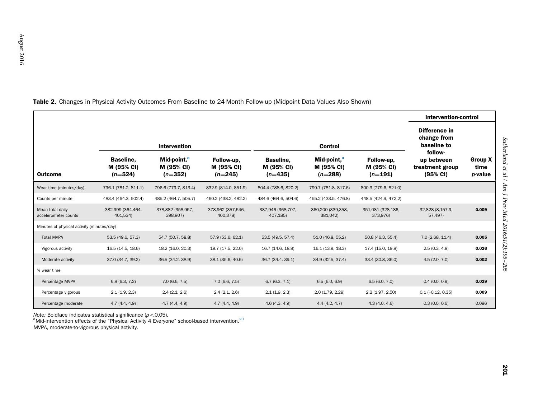|                                            |                                             |                                                    |                                       |                                      |                                                    |                                       | Intervention-control                                           |                                   |
|--------------------------------------------|---------------------------------------------|----------------------------------------------------|---------------------------------------|--------------------------------------|----------------------------------------------------|---------------------------------------|----------------------------------------------------------------|-----------------------------------|
|                                            | <b>Intervention</b>                         |                                                    |                                       | Control                              |                                                    |                                       | Difference in<br>change from<br>baseline to                    |                                   |
| <b>Outcome</b>                             | <b>Baseline.</b><br>M (95% CI)<br>$(n=524)$ | Mid-point, <sup>a</sup><br>M (95% CI)<br>$(n=352)$ | Follow-up,<br>M (95% CI)<br>$(n=245)$ | Baseline,<br>M (95% CI)<br>$(n=435)$ | Mid-point, <sup>a</sup><br>M (95% CI)<br>$(n=288)$ | Follow-up,<br>M (95% CI)<br>$(n=191)$ | follow-<br>up between<br>treatment group<br>$(95% \text{ Cl})$ | <b>Group X</b><br>time<br>p-value |
| Wear time (minutes/day)                    | 796.1 (781.2, 811.1)                        | 796.6 (779.7, 813.4)                               | 832.9 (814.0, 851.9)                  | 804.4 (788.6, 820.2)                 | 799.7 (781.8, 817.6)                               | 800.3 (779.6, 821.0)                  |                                                                |                                   |
| Counts per minute                          | 483.4 (464.3, 502.4)                        | 485.2 (464.7, 505.7)                               | 460.2 (438.2, 482.2)                  | 484.6 (464.6, 504.6)                 | 455.2 (433.5, 476.8)                               | 448.5 (424.9, 472.2)                  |                                                                |                                   |
| Mean total daily<br>accelerometer counts   | 382,999 (364,464,<br>401,534)               | 378,882 (358,957,<br>398,807)                      | 378,962 (357,546,<br>400,378)         | 387,946 (368,707,<br>407,185)        | 360,200 (339,358,<br>381,042)                      | 351,081 (328,186,<br>373,976)         | 32,828 (8,157.9,<br>57,497)                                    | 0.009                             |
| Minutes of physical activity (minutes/day) |                                             |                                                    |                                       |                                      |                                                    |                                       |                                                                |                                   |
| <b>Total MVPA</b>                          | 53.5 (49.6, 57.3)                           | 54.7 (50.7, 58.8)                                  | 57.9 (53.6, 62.1)                     | 53.5 (49.5, 57.4)                    | 51.0 (46.8, 55.2)                                  | 50.8 (46.3, 55.4)                     | 7.0(2.68, 11.4)                                                | 0.005                             |
| Vigorous activity                          | 16.5 (14.5, 18.6)                           | 18.2 (16.0, 20.3)                                  | 19.7 (17.5, 22.0)                     | 16.7 (14.6, 18.8)                    | 16.1 (13.9, 18.3)                                  | 17.4 (15.0, 19.8)                     | 2.5(0.3, 4.8)                                                  | 0.026                             |
| Moderate activity                          | 37.0 (34.7, 39.2)                           | 36.5 (34.2, 38.9)                                  | 38.1 (35.6, 40.6)                     | 36.7 (34.4, 39.1)                    | 34.9 (32.5, 37.4)                                  | 33.4 (30.8, 36.0)                     | 4.5(2.0, 7.0)                                                  | 0.002                             |
| % wear time                                |                                             |                                                    |                                       |                                      |                                                    |                                       |                                                                |                                   |
| Percentage MVPA                            | 6.8(6.3, 7.2)                               | 7.0(6.6, 7.5)                                      | 7.0(6.6, 7.5)                         | 6.7(6.3, 7.1)                        | 6.5(6.0, 6.9)                                      | 6.5(6.0, 7.0)                         | 0.4(0.0, 0.9)                                                  | 0.029                             |
| Percentage vigorous                        | 2.1(1.9, 2.3)                               | 2.4(2.1, 2.6)                                      | 2.4(2.1, 2.6)                         | 2.1(1.9, 2.3)                        | 2.0 (1.79, 2.29)                                   | 2.2(1.97, 2.50)                       | $0.1 (-0.12, 0.35)$                                            | 0.009                             |
| Percentage moderate                        | 4.7(4.4, 4.9)                               | 4.7(4.4, 4.9)                                      | 4.7(4.4, 4.9)                         | 4.6(4.3, 4.9)                        | 4.4(4.2, 4.7)                                      | 4.3(4.0, 4.6)                         | 0.3(0.0, 0.6)                                                  | 0.086                             |

## <span id="page-6-0"></span>Table 2. Changes in Physical Activity Outcomes From Baseline to 24-Month Follow-up (Midpoint Data Values Also Shown)

Note: Boldface indicates statistical significance (p<0.05).<br><sup>a</sup>Mid-intervention effects of the "Physical Activity 4 Everyone" school-based intervention.<sup>[20](#page-8-0)</sup>

MVPA, moderate-to-vigorous physical activity.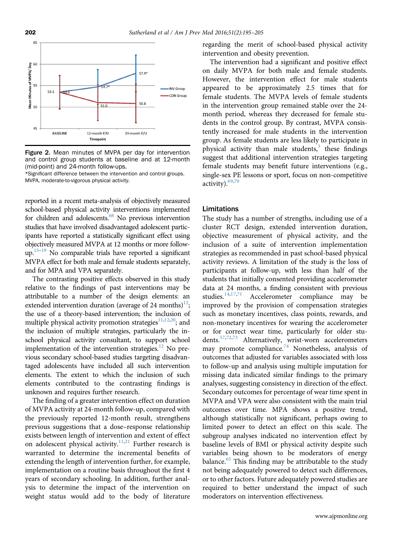<span id="page-7-0"></span>

Figure 2. Mean minutes of MVPA per day for intervention and control group students at baseline and at 12-month (mid-point) and 24-month follow-ups.

\*Significant difference between the intervention and control groups. MVPA, moderate-to-vigorous physical activity.

reported in a recent meta-analysis of objectively measured school-based physical activity interventions implemented for children and adolescents.<sup>68</sup> No previous intervention studies that have involved disadvantaged adolescent participants have reported a statistically significant effect using objectively measured MVPA at 12 months or more follow- $up^{15-19}$  $up^{15-19}$  $up^{15-19}$  $up^{15-19}$  $up^{15-19}$  No comparable trials have reported a significant MVPA effect for both male and female students separately, and for MPA and VPA separately.

The contrasting positive effects observed in this study relative to the findings of past interventions may be attributable to a number of the design elements: an extended intervention duration (average of 24 months)<sup>12</sup>; the use of a theory-based intervention; the inclusion of multiple physical activity promotion strategies $11,12,20$  $11,12,20$ ; and the inclusion of multiple strategies, particularly the inschool physical activity consultant, to support school implementation of the intervention strategies.<sup>[12](#page-8-0)</sup> No previous secondary school-based studies targeting disadvantaged adolescents have included all such intervention elements. The extent to which the inclusion of such elements contributed to the contrasting findings is unknown and requires further research.

The finding of a greater intervention effect on duration of MVPA activity at 24-month follow-up, compared with the previously reported 12-month result, strengthens previous suggestions that a dose–response relationship exists between length of intervention and extent of effect on adolescent physical activity.<sup>11[,21](#page-9-0)</sup> Further research is warranted to determine the incremental benefits of extending the length of intervention further, for example, implementation on a routine basis throughout the first 4 years of secondary schooling. In addition, further analysis to determine the impact of the intervention on weight status would add to the body of literature regarding the merit of school-based physical activity intervention and obesity prevention.

The intervention had a significant and positive effect on daily MVPA for both male and female students. However, the intervention effect for male students appeared to be approximately 2.5 times that for female students. The MVPA levels of female students in the intervention group remained stable over the 24 month period, whereas they decreased for female students in the control group. By contrast, MVPA consistently increased for male students in the intervention group. As female students are less likely to participate in physical activity than male students, $3$  these findings suggest that additional intervention strategies targeting female students may benefit future interventions (e.g., single-sex PE lessons or sport, focus on non-competitive activity)[.69,70](#page-10-0)

# Limitations

The study has a number of strengths, including use of a cluster RCT design, extended intervention duration, objective measurement of physical activity, and the inclusion of a suite of intervention implementation strategies as recommended in past school-based physical activity reviews. A limitation of the study is the loss of participants at follow-up, with less than half of the students that initially consented providing accelerometer data at 24 months, a finding consistent with previous studies.<sup>[14,17,](#page-8-0)[71](#page-10-0)</sup> Accelerometer compliance may be improved by the provision of compensation strategies such as monetary incentives, class points, rewards, and non-monetary incentives for wearing the accelerometer or for correct wear time, particularly for older stu-dents.<sup>[57,72,73](#page-10-0)</sup> Alternatively, wrist-worn accelerometers may promote compliance.<sup>[74](#page-10-0)</sup> Nonetheless, analysis of outcomes that adjusted for variables associated with loss to follow-up and analysis using multiple imputation for missing data indicated similar findings to the primary analyses, suggesting consistency in direction of the effect. Secondary outcomes for percentage of wear time spent in MVPA and VPA were also consistent with the main trial outcomes over time. MPA shows a positive trend, although statistically not significant, perhaps owing to limited power to detect an effect on this scale. The subgroup analyses indicated no intervention effect by baseline levels of BMI or physical activity despite such variables being shown to be moderators of energy balance.<sup>[65](#page-10-0)</sup> This finding may be attributable to the study not being adequately powered to detect such differences, or to other factors. Future adequately powered studies are required to better understand the impact of such moderators on intervention effectiveness.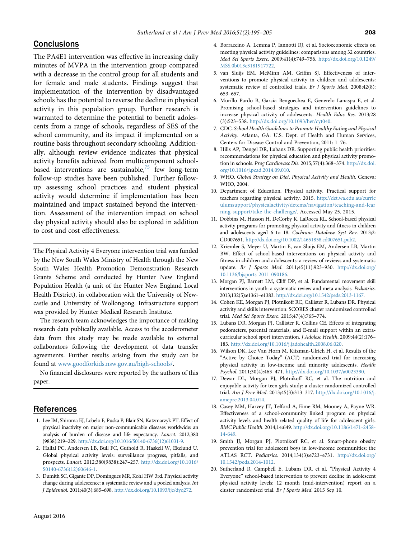[MSS.0b013e3181917722.](http://dx.doi.org/10.1249/MSS.0b013e3181917722)

# <span id="page-8-0"></span>**Conclusions**

The PA4E1 intervention was effective in increasing daily minutes of MVPA in the intervention group compared with a decrease in the control group for all students and for female and male students. Findings suggest that implementation of the intervention by disadvantaged schools has the potential to reverse the decline in physical activity in this population group. Further research is warranted to determine the potential to benefit adolescents from a range of schools, regardless of SES of the school community, and its impact if implemented on a routine basis throughout secondary schooling. Additionally, although review evidence indicates that physical activity benefits achieved from multicomponent school-based interventions are sustainable,<sup>[75](#page-10-0)</sup> few long-term follow-up studies have been published. Further followup assessing school practices and student physical activity would determine if implementation has been maintained and impact sustained beyond the intervention. Assessment of the intervention impact on school day physical activity should also be explored in addition to cost and cost effectiveness.

The Physical Activity 4 Everyone intervention trial was funded by the New South Wales Ministry of Health through the New South Wales Health Promotion Demonstration Research Grants Scheme and conducted by Hunter New England Population Health (a unit of the Hunter New England Local Health District), in collaboration with the University of Newcastle and University of Wollongong. Infrastructure support was provided by Hunter Medical Research Institute.

The research team acknowledges the importance of making research data publically available. Access to the accelerometer data from this study may be made available to external collaborators following the development of data transfer agreements. Further results arising from the study can be found at <www.goodforkids.nsw.gov.au/high-schools/>.

No financial disclosures were reported by the authors of this paper.

# References

- 1. Lee IM, Shiroma EJ, Lobelo F, Puska P, Blair SN, Katzmarzyk PT. Effect of physical inactivity on major non-communicable diseases worldwide: an analysis of burden of disease and life expectancy. Lancet. 2012;380 (9838):219–229. [http://dx.doi.org/10.1016/S0140-6736\(12\)61031-9](http://dx.doi.org/10.1016/S0140-6736(12)61031-9).
- 2. Hallal PC, Andersen LB, Bull FC, Guthold R, Haskell W, Ekelund U. Global physical activity levels: surveillance progress, pitfalls, and prospects. Lancet. 2012;380(9838):247–257. [http://dx.doi.org/10.1016/](http://dx.doi.org/10.1016/S0140-6736(12)60646-1) [S0140-6736\(12\)60646-1.](http://dx.doi.org/10.1016/S0140-6736(12)60646-1)
- 3. Dumith SC, Gigante DP, Domingues MR, Kohl HW 3rd. Physical activity change during adolescence: a systematic review and a pooled analysis. Int J Epidemiol. 2011;40(3):685–698. [http://dx.doi.org/10.1093/ije/dyq272.](http://dx.doi.org/10.1093/ije/dyq272)
- - 13. Morgan PJ, Barnett LM, Cliff DP, et al. Fundamental movement skill interventions in youth: a systematic review and meta-analysis. Pediatrics. 2013;132(5):e1361–e1383. [http://dx.doi.org/10.1542/peds.2013-1167.](http://dx.doi.org/10.1542/peds.2013-1167)
	- 14. Cohen KE, Morgan PJ, Plotnikoff RC, Callister R, Lubans DR. Physical activity and skills intervention: SCORES cluster randomized controlled trial. Med Sci Sports Exerc. 2015;47(4):765–774.
	- 15. Lubans DR, Morgan PJ, Callister R, Collins CE. Effects of integrating pedometers, parental materials, and E-mail support within an extracurricular school sport intervention. J Adolesc Health. 2009;44(2):176– 183. [http://dx.doi.org/10.1016/j.jadohealth.2008.06.020.](http://dx.doi.org/10.1016/j.jadohealth.2008.06.020)
	- 16. Wilson DK, Lee Van Horn M, Kitzman-Ulrich H, et al. Results of the "Active by Choice Today" (ACT) randomized trial for increasing physical activity in low-income and minority adolescents. Health Psychol. 2011;30(4):463–471. <http://dx.doi.org/10.1037/a0023390>.
	- 17. Dewar DL, Morgan PJ, Plotnikoff RC, et al. The nutrition and enjoyable activity for teen girls study: a cluster randomized controlled trial. Am J Prev Med. 2013;45(3):313–317. [http://dx.doi.org/10.1016/j.](http://dx.doi.org/10.1016/j.amepre.2013.04.014) [amepre.2013.04.014.](http://dx.doi.org/10.1016/j.amepre.2013.04.014)
	- 18. Casey MM, Harvey JT, Telford A, Eime RM, Mooney A, Payne WR. Effectiveness of a school-community linked program on physical activity levels and health-related quality of life for adolescent girls. BMC Public Health. 2014;14:649. [http://dx.doi.org/10.1186/1471-2458-](http://dx.doi.org/10.1186/1471-2458-14-649) [14-649](http://dx.doi.org/10.1186/1471-2458-14-649).
	- 19. Smith JJ, Morgan PJ, Plotnikoff RC, et al. Smart-phone obesity prevention trial for adolescent boys in low-income communities: the ATLAS RCT. Pediatrics. 2014;134(3):e723–e731. [http://dx.doi.org/](http://dx.doi.org/10.1542/peds.2014-1012) [10.1542/peds.2014-1012](http://dx.doi.org/10.1542/peds.2014-1012).
	- 20. Sutherland R, Campbell E, Lubans DR, et al. "Physical Activity 4 Everyone" school-based intervention to prevent decline in adolescent physical activity levels: 12 month (mid-intervention) report on a cluster randomised trial. Br J Sports Med. 2015 Sep 10.

systematic review of controlled trials. Br J Sports Med. 2008;42(8): 653–657. 6. Murillo Pardo B, Garcia Bengoechea E, Generelo Lanaspa E, et al. Promising school-based strategies and intervention guidelines to increase physical activity of adolescents. Health Educ Res. 2013;28

4. Borraccino A, Lemma P, Iannotti RJ, et al. Socioeconomic effects on meeting physical activity guidelines: comparisons among 32 countries. Med Sci Sports Exerc. 2009;41(4):749–756. [http://dx.doi.org/10.1249/](http://dx.doi.org/10.1249/MSS.0b013e3181917722)

5. van Sluijs EM, McMinn AM, Griffin SJ. Effectiveness of interventions to promote physical activity in children and adolescents:

- (3):523–538. [http://dx.doi.org/10.1093/her/cyt040.](http://dx.doi.org/10.1093/her/cyt040) 7. CDC. School Health Guidelines to Promote Healthy Eating and Physical Activity. Atlanta, GA: U.S. Dept. of Health and Human Services, Centers for Disease Control and Prevention, 2011: 1–76.
- 8. Hills AP, Dengel DR, Lubans DR. Supporting public health priorities: recommendations for physical education and physical activity promotion in schools. Prog Cardiovasc Dis. 2015;57(4):368–374. [http://dx.doi.](http://dx.doi.org/10.1016/j.pcad.2014.09.010) [org/10.1016/j.pcad.2014.09.010](http://dx.doi.org/10.1016/j.pcad.2014.09.010).
- 9. WHO. Global Strategy on Diet, Physical Activity and Health. Geneva: WHO, 2004.
- 10. Department of Education. Physical activity. Practical support for teachers regarding physical activity. 2015. [http://det.wa.edu.au/curric](http://det.wa.edu.au/curriculumsupport/physicalactivity/detcms/navigation/teaching-and-learning-support/take-the-challenge/) [ulumsupport/physicalactivity/detcms/navigation/teaching-and-lear](http://det.wa.edu.au/curriculumsupport/physicalactivity/detcms/navigation/teaching-and-learning-support/take-the-challenge/) [ning-support/take-the-challenge/.](http://det.wa.edu.au/curriculumsupport/physicalactivity/detcms/navigation/teaching-and-learning-support/take-the-challenge/) Accessed May 25, 2015.
- 11. Dobbins M, Husson H, DeCorby K, LaRocca RL. School-based physical activity programs for promoting physical activity and fitness in children and adolescents aged 6 to 18. Cochrane Database Syst Rev. 2013;2: CD007651. <http://dx.doi.org/10.1002/14651858.cd007651.pub2>.
- 12. Kriemler S, Meyer U, Martin E, van Sluijs EM, Andersen LB, Martin BW. Effect of school-based interventions on physical activity and fitness in children and adolescents: a review of reviews and systematic update. Br J Sports Med. 2011;45(11):923–930. [http://dx.doi.org/](http://dx.doi.org/10.1136/bjsports-2011-090186) [10.1136/bjsports-2011-090186.](http://dx.doi.org/10.1136/bjsports-2011-090186)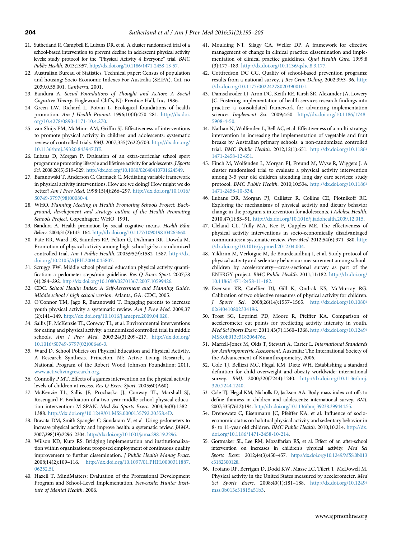- <span id="page-9-0"></span>21. Sutherland R, Campbell E, Lubans DR, et al. A cluster randomised trial of a school-based intervention to prevent decline in adolescent physical activity levels: study protocol for the "Physical Activity 4 Everyone" trial. BMC Public Health. 2013;13:57. <http://dx.doi.org/10.1186/1471-2458-13-57>.
- 22. Australian Bureau of Statistics. Technical paper: Census of population and housing: Socio-Economic Indexes For Australia (SEIFA). Cat. no 2039.0.55.001. Canberra. 2001.
- 23. Bandura A. Social Foundations of Thought and Action: A Social Cognitive Theory. Englewood Cliffs, NJ: Prentice-Hall, Inc, 1986.
- 24. Green LW, Richard L, Potvin L. Ecological foundations of health promotion. Am J Health Promot. 1996;10(4):270–281. [http://dx.doi.](http://dx.doi.org/10.4278/0890-1171-10.4.270) [org/10.4278/0890-1171-10.4.270](http://dx.doi.org/10.4278/0890-1171-10.4.270).
- 25. van Sluijs EM, McMinn AM, Griffin SJ. Effectiveness of interventions to promote physical activity in children and adolescents: systematic review of controlled trials. BMJ. 2007;335(7622):703. [http://dx.doi.org/](http://dx.doi.org/10.1136/bmj.39320.843947.BE) [10.1136/bmj.39320.843947.BE](http://dx.doi.org/10.1136/bmj.39320.843947.BE).
- 26. Lubans D, Morgan P. Evaluation of an extra-curricular school sport programme promoting lifestyle and lifetime activity for adolescents. J Sports Sci. 2008;26(5):519–529. [http://dx.doi.org/10.1080/02640410701624549.](http://dx.doi.org/10.1080/02640410701624549)
- 27. Baranowski T, Anderson C, Carmack C. Mediating variable framework in physical activity interventions. How are we doing? How might we do better? Am J Prev Med. 1998;15(4):266–297. [http://dx.doi.org/10.1016/](http://dx.doi.org/10.1016/S0749-3797(98)00080-4) [S0749-3797\(98\)00080-4](http://dx.doi.org/10.1016/S0749-3797(98)00080-4).
- 28. WHO. Planning Meeting in Health Promoting Schools Project: Background, development and strategy outline of the Health Promoting Schools Project. Copenhagen: WHO, 1991.
- 29. Bandura A. Health promotion by social cognitive means. Health Educ Behav. 2004;31(2):143–164. <http://dx.doi.org/10.1177/1090198104263660>.
- 30. Pate RR, Ward DS, Saunders RP, Felton G, Dishman RK, Dowda M. Promotion of physical activity among high-school girls: a randomized controlled trial. Am J Public Health. 2005;95(9):1582–1587. [http://dx.](http://dx.doi.org/10.2105/AJPH.2004.045807) [doi.org/10.2105/AJPH.2004.045807](http://dx.doi.org/10.2105/AJPH.2004.045807).
- 31. Scruggs PW. Middle school physical education physical activity quantification: a pedometer steps/min guideline. Res Q Exerc Sport. 2007;78 (4):284–292. <http://dx.doi.org/10.1080/02701367.2007.10599426>.
- 32. CDC. School Health Index: A Self-Assessment and Planning Guide. Middle school / high school version. Atlanta, GA: CDC, 2005.
- 33. O'Connor TM, Jago R, Baranowski T. Engaging parents to increase youth physical activity a systematic review. Am J Prev Med. 2009;37 (2):141–149. [http://dx.doi.org/10.1016/j.amepre.2009.04.020.](http://dx.doi.org/10.1016/j.amepre.2009.04.020)
- 34. Sallis JF, McKenzie TL, Conway TL, et al. Environmental interventions for eating and physical activity: a randomized controlled trial in middle schools. Am J Prev Med. 2003;24(3):209–217. [http://dx.doi.org/](http://dx.doi.org/10.1016/S0749-3797(02)00646-3) [10.1016/S0749-3797\(02\)00646-3.](http://dx.doi.org/10.1016/S0749-3797(02)00646-3)
- 35. Ward D. School Policies on Physical Education and Physical Activity. A Research Synthesis. Princeton, NJ: Active Living Research, a National Program of the Robert Wood Johnson Foundation; 2011. <www.activelivingresearch.org>.
- 36. Connolly P MT. Effects of a games intervention on the physical activity levels of children at recess. Res Q Exerc Sport. 2005;60(A60).
- 37. McKenzie TL, Sallis JF, Prochaska JJ, Conway TL, Marshall SJ, Rosengard P. Evaluation of a two-year middle-school physical education intervention: M-SPAN. Med Sci Sports Exerc. 2004;36(8):1382– 1388. <http://dx.doi.org/10.1249/01.MSS.0000135792.20358.4D>.
- 38. Bravata DM, Smith-Spangler C, Sundaram V, et al. Using pedometers to increase physical activity and improve health: a systematic review. JAMA. 2007;298(19):2296–2304. [http://dx.doi.org/10.1001/jama.298.19.2296.](http://dx.doi.org/10.1001/jama.298.19.2296)
- 39. Wilson KD, Kurz RS. Bridging implementation and institutionalization within organizations: proposed employment of continuous quality improvement to further dissemination. J Public Health Manag Pract. 2008;14(2):109–116. [http://dx.doi.org/10.1097/01.PHH.0000311887.](http://dx.doi.org/10.1097/01.PHH.0000311887.06252.5f) [06252.5f](http://dx.doi.org/10.1097/01.PHH.0000311887.06252.5f).
- 40. Hazell T. MindMatters: Evaluation of the Professional Development Program and School-Level Implementation. Newcastle: Hunter Institute of Mental Health. 2006.
- 41. Moulding NT, Silagy CA, Weller DP. A framework for effective management of change in clinical practice: dissemination and implementation of clinical practice guidelines. Qual Health Care. 1999;8 (3):177–183. [http://dx.doi.org/10.1136/qshc.8.3.177.](http://dx.doi.org/10.1136/qshc.8.3.177)
- 42. Gottfredson DC GG. Quality of school-based prevention programs: results from a national survey. J Res Crim Delinq. 2002;39:3–36. [http:](http://dx.doi.org/10.1177/002242780203900101) [//dx.doi.org/10.1177/002242780203900101](http://dx.doi.org/10.1177/002242780203900101).
- 43. Damschroder LJ, Aron DC, Keith RE, Kirsh SR, Alexander JA, Lowery JC. Fostering implementation of health services research findings into practice: a consolidated framework for advancing implementation science. Implement Sci. 2009;4:50. [http://dx.doi.org/10.1186/1748-](http://dx.doi.org/10.1186/1748-5908-4-50) [5908-4-50.](http://dx.doi.org/10.1186/1748-5908-4-50)
- 44. Nathan N, Wolfenden L, Bell AC, et al. Effectiveness of a multi-strategy intervention in increasing the implementation of vegetable and fruit breaks by Australian primary schools: a non-randomized controlled trial. BMC Public Health. 2012;12(1):651. [http://dx.doi.org/10.1186/](http://dx.doi.org/10.1186/1471-2458-12-651) [1471-2458-12-651](http://dx.doi.org/10.1186/1471-2458-12-651).
- 45. Finch M, Wolfenden L, Morgan PJ, Freund M, Wyse R, Wiggers J. A cluster randomised trial to evaluate a physical activity intervention among 3-5 year old children attending long day care services: study protocol. BMC Public Health. 2010;10:534. [http://dx.doi.org/10.1186/](http://dx.doi.org/10.1186/1471-2458-10-534) [1471-2458-10-534](http://dx.doi.org/10.1186/1471-2458-10-534).
- 46. Lubans DR, Morgan PJ, Callister R, Collins CE, Plotnikoff RC. Exploring the mechanisms of physical activity and dietary behavior change in the program x intervention for adolescents. J Adolesc Health. 2010;47(1):83–91. <http://dx.doi.org/10.1016/j.jadohealth.2009.12.015>.
- 47. Cleland CL, Tully MA, Kee F, Cupples ME. The effectiveness of physical activity interventions in socio-economically disadvantaged communities: a systematic review. Prev Med. 2012;54(6):371–380. [http:](http://dx.doi.org/10.1016/j.ypmed.2012.04.004) [//dx.doi.org/10.1016/j.ypmed.2012.04.004.](http://dx.doi.org/10.1016/j.ypmed.2012.04.004)
- 48. Yildirim M, Verloigne M, de Bourdeaudhuij I, et al. Study protocol of physical activity and sedentary behaviour measurement among schoolchildren by accelerometry—cross-sectional survey as part of the ENERGY-project. BMC Public Health. 2011;11:182. [http://dx.doi.org/](http://dx.doi.org/10.1186/1471-2458-11-182) [10.1186/1471-2458-11-182.](http://dx.doi.org/10.1186/1471-2458-11-182)
- 49. Evenson KR, Catellier DJ, Gill K, Ondrak KS, McMurray RG. Calibration of two objective measures of physical activity for children. J Sports Sci. 2008;26(14):1557–1565. [http://dx.doi.org/10.1080/](http://dx.doi.org/10.1080/02640410802334196) [02640410802334196](http://dx.doi.org/10.1080/02640410802334196).
- 50. Trost SG, Loprinzi PD, Moore R, Pfeiffer KA. Comparison of accelerometer cut points for predicting activity intensity in youth. Med Sci Sports Exerc. 2011;43(7):1360–1368. [http://dx.doi.org/10.1249/](http://dx.doi.org/10.1249/MSS.0b013e318206476e) [MSS.0b013e318206476e.](http://dx.doi.org/10.1249/MSS.0b013e318206476e)
- 51. Marfell-Jones M, Olds T, Stewart A, Carter L. International Standards for Anthropometric Assessment. Australia: The International Society of the Advancement of Kinanthropometry, 2006.
- 52. Cole TJ, Bellizzi MC, Flegal KM, Dietz WH. Establishing a standard definition for child overweight and obesity worldwide: international survey. BMJ. 2000;320(7244):1240. [http://dx.doi.org/10.1136/bmj.](http://dx.doi.org/10.1136/bmj.320.7244.1240) [320.7244.1240.](http://dx.doi.org/10.1136/bmj.320.7244.1240)
- 53. Cole TJ, Flegal KM, Nicholls D, Jackson AA. Body mass index cut offs to define thinness in children and adolescents: international survey. BMJ. 2007;335(7612):194. [http://dx.doi.org/10.1136/bmj.39238.399444.55.](http://dx.doi.org/10.1136/bmj.39238.399444.55)
- 54. Drenowatz C, Eisenmann JC, Pfeiffer KA, et al. Influence of socioeconomic status on habitual physical activity and sedentary behavior in 8- to 11-year old children. BMC Public Health. 2010;10:214. [http://dx.](http://dx.doi.org/10.1186/1471-2458-10-214) [doi.org/10.1186/1471-2458-10-214.](http://dx.doi.org/10.1186/1471-2458-10-214)
- 55. Gortmaker SL, Lee RM, Mozaffarian RS, et al. Effect of an after-school intervention on increases in children's physical activity. Med Sci Sports Exerc. 2012;44(3):450–457. [http://dx.doi.org/10.1249/MSS.0b013](http://dx.doi.org/10.1249/MSS.0b013e3182300128) [e3182300128.](http://dx.doi.org/10.1249/MSS.0b013e3182300128)
- 56. Troiano RP, Berrigan D, Dodd KW, Masse LC, Tilert T, McDowell M. Physical activity in the United States measured by accelerometer. Med Sci Sports Exerc. 2008;40(1):181–188. [http://dx.doi.org/10.1249/](http://dx.doi.org/10.1249/mss.0b013e31815a51b3) [mss.0b013e31815a51b3](http://dx.doi.org/10.1249/mss.0b013e31815a51b3).